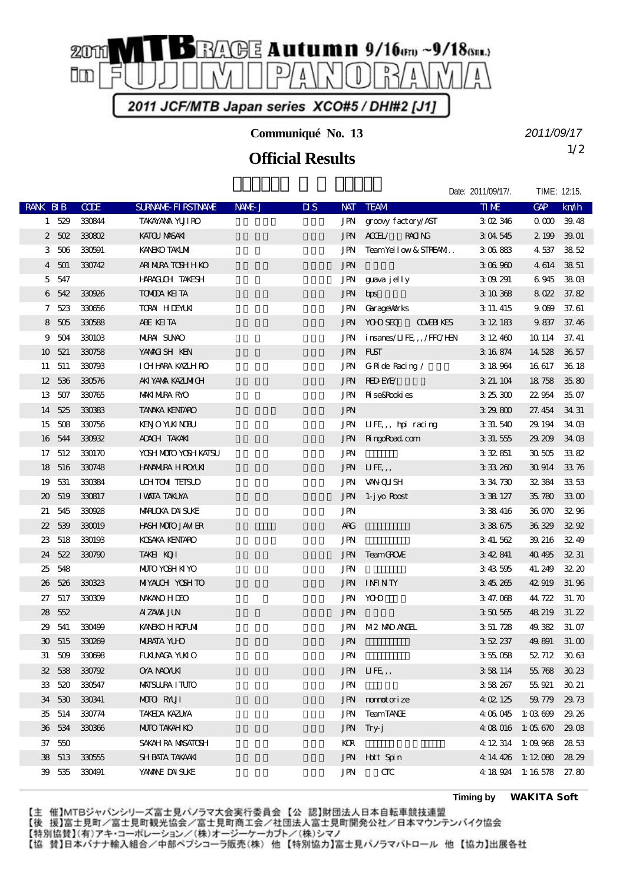

**Communiqué No. 13**

## 1/2 **Official Results**

*2011/09/17*

|                             |        |               |                            |        |                         |            |                                | Date: 2011/09/17/. |                         | TIME: 12:15.      |  |
|-----------------------------|--------|---------------|----------------------------|--------|-------------------------|------------|--------------------------------|--------------------|-------------------------|-------------------|--|
| RANK BIB                    |        | <b>COE</b>    | <b>SURVANE FI RSTIVANE</b> | NAME J | $\overline{\mathbf{u}}$ | <b>NAT</b> | <b>TEAM</b>                    | <b>TIME</b>        | <b>GAP</b>              | km/h              |  |
|                             | 1 529  | 330844        | <b>TAKAYANA YUJI RO</b>    |        |                         |            | JPN groovy factory/AST         | 302346             | 0000 3948               |                   |  |
| 2                           | 502    | 330802        | KATOU MASAKI               |        |                         |            | JPN ACCEL/<br>RACING           | 304545             | 2 199                   | 39.01             |  |
| 3                           | 506    | 330591        | <b>KANEKO TAKLMI</b>       |        |                         | JPN        | TeamYel l ow & STREAM          | 306883             | 4537                    | 3852              |  |
| 4                           | 501    | 330742        | ARI NURA TOSH H KO         |        |                         | <b>JPN</b> |                                | 306960             | 4 614 38 51             |                   |  |
| 5                           | 547    |               | <b>HARACLOH TAKESH</b>     |        |                         | JPN        | guawa jelly                    | 3 09 291           | 6945 3803               |                   |  |
| 6                           | 542    | 330926        | <b>TOMDA KEITA</b>         |        |                         | <b>JPN</b> | bps                            | 3 10 368           | 8 022 37.82             |                   |  |
| 7                           | 523    | 330656        | <b>TORA HIEMKI</b>         |        |                         | JPN        | <b>GarageWorks</b>             | 3 11 415           | 9009                    | 37.61             |  |
| 8                           | 505    | 330588        | <b>ABE KEITA</b>           |        |                         |            | JPN YOHOSEO<br><b>COVERIES</b> | 3 12 183           | 9 837 37.46             |                   |  |
| 9                           | 504    | 330103        | <b>NIRAI SUNO</b>          |        |                         | JPN        | insanes/IIFE,,/FFC/HEN         | 3 12 460           | 10 114                  | 37.41             |  |
| 10                          | 521    | 330758        | YANACISH KEN               |        |                         |            | JPN FUST                       | 3 16 874           | 14528                   | 36 57             |  |
| 11                          | 511    | 330793        | I CHHARA KAZLH RO          |        |                         |            | JPN GRide Racing /             | 3 18 964           | 16 617                  | 36 18             |  |
| $12 \,$                     | 536    | 330576        | AKI YANA KAZINICH          |        |                         |            | JPN REDEMEY                    | 3 21.104           | 18758                   | 3580              |  |
| 13                          | 507    | 330765        | <b>MAKI NURA RYO</b>       |        |                         |            | JPN Rise&Rookies               | 325300             | 22.954                  | 35.07             |  |
| 14                          | 525    | 330383        | <b>TANKA KENTARO</b>       |        |                         | <b>JPN</b> |                                | 3 29 800           | 27.454                  | 34 31             |  |
| 15                          | 508    | 330756        | <b>KENO YUKI NOBU</b>      |        |                         |            | JPN LIFE,, hpi racing          | 3 31, 540          | 29, 194                 | 34 OB             |  |
| 16                          | 544    | 330932        | ADACH TAKAKI               |        |                         |            | JPN RingoRoad com              | 331.555            | 29,209                  | 34 O <sub>B</sub> |  |
| 17                          | 512    | 330170        | YOSH MOTO YOSH KATSU       |        |                         | <b>JPN</b> |                                | 3 32 851           | 30505                   | 3382              |  |
| 18                          | 516    | 330748        | <b>HANAMIRA H ROAKI</b>    |        |                         |            | $JIN$ $IIFE,$ ,                | 333260             | 30 914                  | 3376              |  |
| 19                          | 531    | 330384        | <b>UHTOM TEISLO</b>        |        |                         | JPN        | <b>VAN QUISH</b>               | 334730             | 32384                   | 33.53             |  |
| $\boldsymbol{\mathfrak{D}}$ | 519    | 330817        | <b>I WATA TAKUYA</b>       |        |                         |            | JPN 1-jyo Roost                | 3 38 127           | 35 780                  | 3300              |  |
| 21                          | 545    | 330928        | <b>MRUKA DA SUÆ</b>        |        |                         | <b>JPN</b> |                                | 3 38 416           | 36 OZO                  | 3296              |  |
| $22\,$                      | 539    | 330019        | <b>HASH NOTO JAMER</b>     |        |                         | <b>ARC</b> |                                | 338675             | 36329                   | 3292              |  |
| 23                          | 518    | 330193        | <b>KOSAKA KENTARO</b>      |        |                         | <b>JPN</b> |                                | 3 41, 562          | 39, 216                 | 32.49             |  |
| 24                          | 522    | 330790        | TAKEI KOJI                 |        |                         | JPN        | <b>TeamGROME</b>               | 342841             | 40.495                  | 32.31             |  |
| 25                          | 548    |               | <b>NUTO YOSH KI YO</b>     |        |                         | <b>JPN</b> |                                | 343595             | 41.249                  | 32.20             |  |
| 26                          | 526    | 330323        | <b>MIYALCH YOSHTO</b>      |        |                         |            | JPN INHNTY                     | 345265             | 42 919                  | 31.96             |  |
| 27                          | 517    | 330309        | <b>NWANO HIEO</b>          |        |                         |            | JPN YOHO                       | 3 47.068           | 44.722                  | 31, 70            |  |
| 28                          | 552    |               | AIZAWA JUN                 |        |                         | <b>JPN</b> |                                | 350565             | 48 219                  | 31.22             |  |
| 29                          | 541    | 330499        | <b>KANEKO H ROFUMI</b>     |        |                         | JPN        | M2 MD ANEL                     | 3 51 728           | 49.382                  | 31.07             |  |
|                             | 30 515 | 330269        | <b>MIRATA YUID</b>         |        |                         | <b>JPN</b> |                                | 352237             | 49.891                  | 31.00             |  |
| 31                          | 509    | 330698        | FUALNACA YUNIO             |        |                         | JPN        |                                | 355058             | $52712$ $3063$          |                   |  |
|                             |        | 32 538 330792 | <b>OYA NAOYUN</b>          |        |                         |            | $JIN$ $IIFE,$ ,                | 3 58 114           | 55 768 30 23            |                   |  |
|                             |        | 33 520 330547 | <b>MAISURA ITUTO</b>       |        |                         | JPN        |                                | 358267             | 55.921                  | 30 21             |  |
|                             | 34 530 | 330341        | MOTO RYUI                  |        |                         |            | JPN monotorize                 | 4 02 125           | 59.779                  | 29.73             |  |
|                             |        | 35 514 330774 | <b>TAKEDA KAZUYA</b>       |        |                         |            | JPN TeamTANCE                  |                    | 4 06 045 1:03 699       | 29.26             |  |
|                             |        | 36 534 330366 | <b>NUTO TAKAH KO</b>       |        |                         |            | JPN Try-j                      |                    | 4 08 016 1:05 670 29 03 |                   |  |
|                             | 37 550 |               | SAKAH RA MASATOSH          |        |                         | KOR        |                                |                    | 4 12 314 1:09 968 28 53 |                   |  |
|                             |        | 38 513 330555 | SH BATA TAKAAKI            |        |                         |            | JPN Hott Spin                  |                    | 4 14 426 1:12 080 28 29 |                   |  |
|                             |        | 39 535 330491 | YANANE DAISUKE             |        |                         | JPN        | $CTC$                          |                    | 4 18 924 1:16 578 27.80 |                   |  |

**Timing by** *WAKITA Soft*

【主 催】MTBジャパンシリーズ富士見パノラマ大会実行委員会【公 認】財団法人日本自転車競技連盟

【後 援】富士見町/富士見町観光協会/富士見町商工会/社団法人富士見町開発公社/日本マウンテンバイク協会